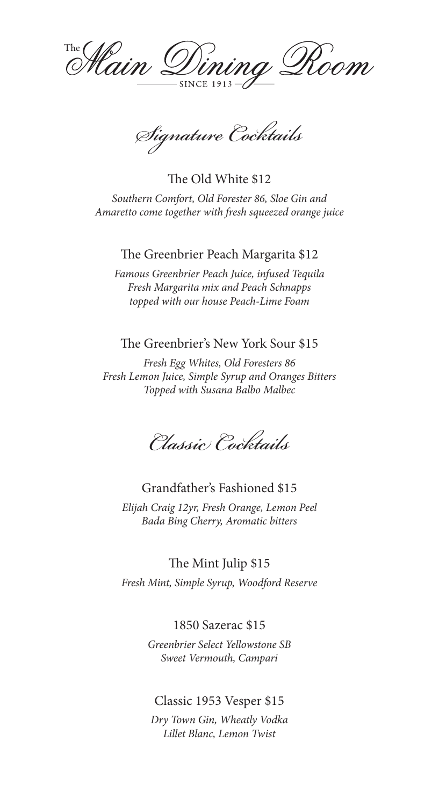Vining Room <sup>The</sup> Hain D **SINCE 1913** 

*Signature Cocktails*

The Old White \$12 *Southern Comfort, Old Forester 86, Sloe Gin and Amaretto come together with fresh squeezed orange juice*

### The Greenbrier Peach Margarita \$12

*Famous Greenbrier Peach Juice, infused Tequila Fresh Margarita mix and Peach Schnapps topped with our house Peach-Lime Foam*

## The Greenbrier's New York Sour \$15

*Fresh Egg Whites, Old Foresters 86 Fresh Lemon Juice, Simple Syrup and Oranges Bitters Topped with Susana Balbo Malbec* 

*Classic Cocktails*

### Grandfather's Fashioned \$15

*Elijah Craig 12yr, Fresh Orange, Lemon Peel Bada Bing Cherry, Aromatic bitters*

The Mint Julip \$15

*Fresh Mint, Simple Syrup, Woodford Reserve*

# 1850 Sazerac \$15

*Greenbrier Select Yellowstone SB Sweet Vermouth, Campari* 

### Classic 1953 Vesper \$15

*Dry Town Gin, Wheatly Vodka Lillet Blanc, Lemon Twist*